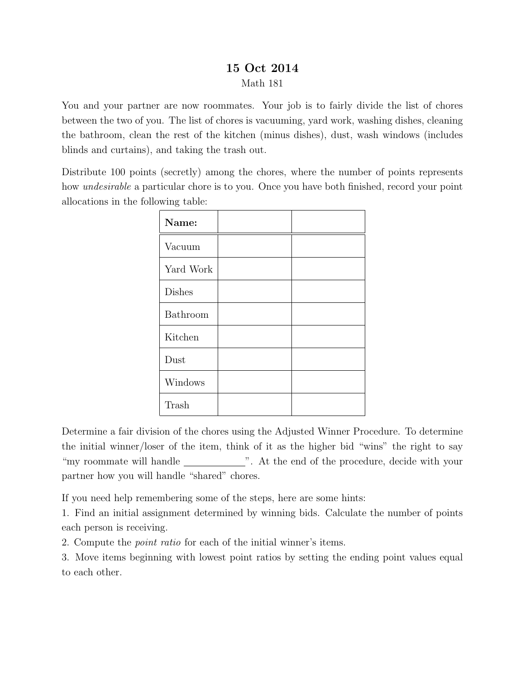## 15 Oct 2014 Math 181

You and your partner are now roommates. Your job is to fairly divide the list of chores between the two of you. The list of chores is vacuuming, yard work, washing dishes, cleaning the bathroom, clean the rest of the kitchen (minus dishes), dust, wash windows (includes blinds and curtains), and taking the trash out.

Distribute 100 points (secretly) among the chores, where the number of points represents how *undesirable* a particular chore is to you. Once you have both finished, record your point allocations in the following table:

| Name:         |  |
|---------------|--|
| Vacuum        |  |
| Yard Work     |  |
| <b>Dishes</b> |  |
| Bathroom      |  |
| Kitchen       |  |
| Dust          |  |
| Windows       |  |
| Trash         |  |

Determine a fair division of the chores using the Adjusted Winner Procedure. To determine the initial winner/loser of the item, think of it as the higher bid "wins" the right to say "my roommate will handle \_\_\_\_\_\_\_\_\_\_\_\_\_". At the end of the procedure, decide with your partner how you will handle "shared" chores.

If you need help remembering some of the steps, here are some hints:

1. Find an initial assignment determined by winning bids. Calculate the number of points each person is receiving.

2. Compute the point ratio for each of the initial winner's items.

3. Move items beginning with lowest point ratios by setting the ending point values equal to each other.